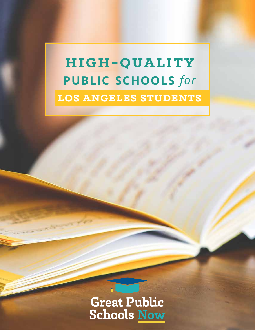# **high-quality public schools** *for*  **los angeles students**

**Great Public<br>Schools Now**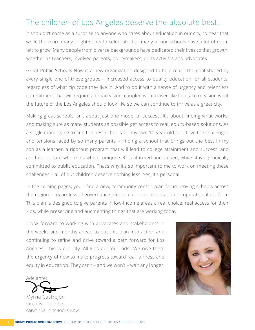## The children of Los Angeles deserve the absolute best.

It shouldn't come as a surprise to anyone who cares about education in our city, to hear that while there are many bright spots to celebrate, too many of our schools have a lot of room left to grow. Many people from diverse backgrounds have dedicated their lives to that growth, whether as teachers, involved parents, policymakers, or as activists and advocates.

Great Public Schools Now is a new organization designed to help reach the goal shared by every single one of these groups – increased access to quality education for all students, regardless of what zip code they live in. And to do it with a sense of urgency and relentless commitment that will require a broad vision, coupled with a laser-like focus, to re-vision what the future of the Los Angeles should look like so we can continue to thrive as a great city.

Making great schools isn't about just one model of success. It's about finding what works, and making sure as many students as possible get access to real, equity-based solutions. As a single mom trying to find the best schools for my own 10-year-old son, I live the challenges and tensions faced by so many parents – finding a school that brings out the best in my son as a learner, a rigorous program that will lead to college attainment and success, and a school culture where his whole, unique self is affirmed and valued, while staying radically committed to public education. That's why it's so important to me to work on meeting these challenges – all of our children deserve nothing less. Yes, it's personal.

In the coming pages, you'll find a new, community-centric plan for improving schools across the region – regardless of governance model, curricular orientation or operational platform This plan is designed to give parents in low-income areas a real choice, real access for their kids, while preserving and augmenting things that are working today.

I look forward to working with advocates and stakeholders in the weeks and months ahead to put this plan into action and continuing to refine and drive toward a path forward for Los Angeles. This is our city. All kids our 'our kids.' We owe them the urgency of now to make progress toward real fairness and equity in education. They can't – and we won't – wait any longer.

Adelante!

Myrna Castrejón executive director great public schools now

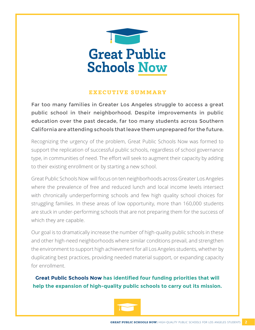

### **executive summary**

Far too many families in Greater Los Angeles struggle to access a great public school in their neighborhood. Despite improvements in public education over the past decade, far too many students across Southern California are attending schools that leave them unprepared for the future.

Recognizing the urgency of the problem, Great Public Schools Now was formed to support the replication of successful public schools, regardless of school governance type, in communities of need. The effort will seek to augment their capacity by adding to their existing enrollment or by starting a new school.

Great Public Schools Now will focus on ten neighborhoods across Greater Los Angeles where the prevalence of free and reduced lunch and local income levels intersect with chronically underperforming schools and few high quality school choices for struggling families. In these areas of low opportunity, more than 160,000 students are stuck in under-performing schools that are not preparing them for the success of which they are capable.

Our goal is to dramatically increase the number of high-quality public schools in these and other high-need neighborhoods where similar conditions prevail, and strengthen the environment to support high achievement for all Los Angeles students, whether by duplicating best practices, providing needed material support, or expanding capacity for enrollment.

**Great Public Schools Now has identified four funding priorities that will help the expansion of high-quality public schools to carry out its mission.**

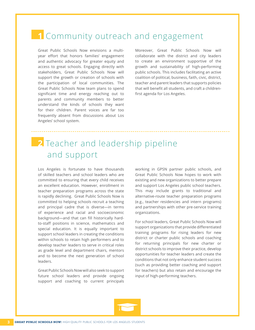# **1** Community outreach and engagement

Great Public Schools Now envisions a multiyear effort that honors families' engagement and authentic advocacy for greater equity and access to great schools. Engaging directly with stakeholders, Great Public Schools Now will support the growth or creation of schools with the participation of local communities. The Great Public Schools Now team plans to spend significant time and energy reaching out to parents and community members to better understand the kinds of schools they want for their children. Parent voices are far too frequently absent from discussions about Los Angeles' school system.

Moreover, Great Public Schools Now will collaborate with the district and city leaders to create an environment supportive of the growth and sustainability of high-performing public schools. This includes facilitating an active coalition of political, business, faith, civic, district, teacher and parent leaders that supports policies that will benefit all students, and craft a childrenfirst agenda for Los Angeles.

## **2** Teacher and leadership pipeline and support

Los Angeles is fortunate to have thousands of skilled teachers and school leaders who are committed to ensuring that every child receives an excellent education. However, enrollment in teacher preparation programs across the state is rapidly declining. Great Public Schools Now is committed to helping schools recruit a teaching and principal cadre that is diverse—in terms of experience and racial and socioeconomic background—and that can fill historically hardto-staff positions in science, mathematics and special education. It is equally important to support school leaders in creating the conditions within schools to retain high performers and to develop teacher leaders to serve in critical roles as grade level and department chairs, mentors and to become the next generation of school leaders.

Great Public Schools Now will also seek to support future school leaders and provide ongoing support and coaching to current principals

working in GPSN partner public schools, and Great Public Schools Now hopes to work with existing and new organizations to better prepare and support Los Angeles public school teachers. This may include grants to traditional and alternative-route teacher preparation programs (e.g., teacher residencies and intern programs) and partnerships with other pre-service training organizations.

For school leaders, Great Public Schools Now will support organizations that provide differentiated training programs for rising leaders for new district or charter public schools and coaching for returning principals for new charter or district schools to improve their practice, develop opportunities for teacher leaders and create the conditions that not only enhance student success (such as providing better coaching and support for teachers) but also retain and encourage the input of high-performing teachers.

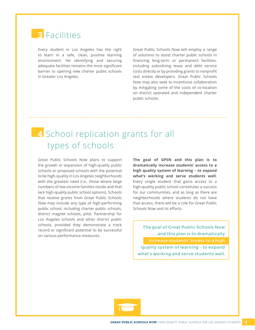# **3** Facilities

Every student in Los Angeles has the right to learn in a safe, clean, positive learning environment. Yet identifying and securing adequate facilities remains the most significant barrier to opening new charter public schools in Greater Los Angeles.

Great Public Schools Now will employ a range of solutions to assist charter public schools in financing long-term or permanent facilities, including subsidizing lease and debt service costs directly or by providing grants to nonprofit real estate developers. Great Public Schools Now may also seek to incentivize collaboration by mitigating some of the costs of co-location on district operated and independent charter public schools.

# **4** School replication grants for all types of schools

Great Public Schools Now plans to support the growth or expansion of high-quality public schools or proposed schools with the potential to be high-quality in Los Angeles neighborhoods with the greatest need (i.e., those where large numbers of low-income families reside and that lack high-quality public school options). Schools that receive grants from Great Public Schools Now may include any type of high-performing public school, including charter public schools, district magnet schools, pilot, Partnership for Los Angeles schools and other district public schools, provided they demonstrate a track record or significant potential to be successful on various performance measures.

**The goal of GPSN and this plan is to dramatically increase students' access to a high quality system of learning – to expand what's working and serve students well.** Every single student that gains access to a high-quality public school constitutes a success for our communities, and as long as there are neighborhoods where students do not have that access, there will be a role for Great Public Schools Now and its efforts.

The goal of Great Public Schools Now and this plan is to dramatically increase students' access to a high quality system of learning – to expand what's working and serve students well.

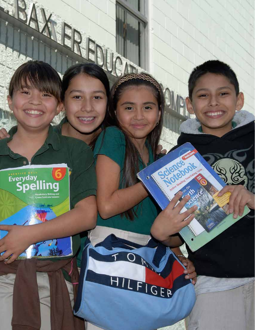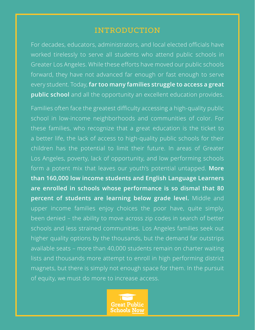## INTRODUCTION

For decades, educators, administrators, and local elected officials have worked tirelessly to serve all students who attend public schools in Greater Los Angeles. While these efforts have moved our public schools forward, they have not advanced far enough or fast enough to serve every student. Today, **far too many families struggle to access a great public school** and all the opportunity an excellent education provides.

Families often face the greatest difficulty accessing a high-quality public school in low-income neighborhoods and communities of color. For these families, who recognize that a great education is the ticket to a better life, the lack of access to high-quality public schools for their children has the potential to limit their future. In areas of Greater Los Angeles, poverty, lack of opportunity, and low performing schools form a potent mix that leaves our youth's potential untapped. **More than 160,000 low income students and English Language Learners are enrolled in schools whose performance is so dismal that 80 percent of students are learning below grade level.** Middle and upper income families enjoy choices the poor have, quite simply, been denied – the ability to move across zip codes in search of better schools and less strained communities. Los Angeles families seek out higher quality options by the thousands, but the demand far outstrips available seats – more than 40,000 students remain on charter waiting lists and thousands more attempt to enroll in high performing district magnets, but there is simply not enough space for them. In the pursuit of equity, we must do more to increase access.

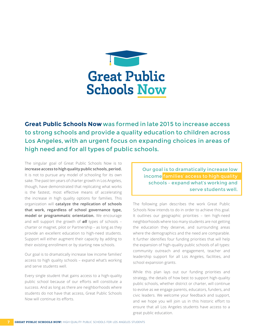

**Great Public Schools Now** was formed in late 2015 to increase access to strong schools and provide a quality education to children across Los Angeles, with an urgent focus on expanding choices in areas of high need and for all types of public schools.

The singular goal of Great Public Schools Now is to **increase access to high quality public schools, period.** It is not to pursue any model of schooling for its own sake. The past ten years of charter growth in Los Angeles, though, have demonstrated that replicating what works is the fastest, most effective means of accelerating the increase in high quality options for families. This organization will **catalyze the replication of schools that work, regardless of school governance type, model or programmatic orientation.** We encourage and will support the growth of *all* types of schools – charter or magnet, pilot or Partnership – as long as they provide an excellent education to high-need students. Support will either augment their capacity by adding to their existing enrollment or by starting new schools.

Our goal is to dramatically increase low income families' access to high quality schools – expand what's working and serve students well.

Every single student that gains access to a high-quality public school because of our efforts will constitute a success. And as long as there are neighborhoods where students do not have that access, Great Public Schools Now will continue its efforts.

Our goal is to dramatically increase low income families' access to high quality schools – expand what's working and serve students well.

The following plan describes the work Great Public Schools Now intends to do in order to achieve this goal. It outlines our geographic priorities – ten high-need neighborhoods where too many students are not getting the education they deserve, and surrounding areas where the demographics and the need are comparable. It further identifies four funding priorities that will help the expansion of high-quality public schools of all types: community outreach and engagement, teacher and leadership support for all Los Angeles, facilities, and school expansion grants.

While this plan lays out our funding priorities and strategy, the details of how best to support high-quality public schools, whether district or charter, will continue to evolve as we engage parents, educators, funders, and civic leaders. We welcome your feedback and support, and we hope you will join us in this historic effort to ensure that all Los Angeles students have access to a great public education.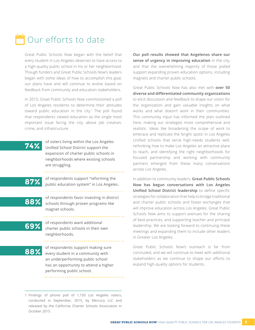# $\Box$  Our efforts to date

Great Public Schools Now began with the belief that every student in Los Angeles deserves to have access to a high-quality public school in his or her neighborhood. Though funders and Great Public Schools Now's leaders began with some ideas of how to accomplish this goal, our plans have and will continue to evolve based on feedback from community and education stakeholders.

In 2015, Great Public Schools Now commissioned a poll of Los Angeles residents to determine their attitudes toward public education in the city.<sup>1</sup> The poll found that respondents viewed education as the single most important issue facing the city, above job creation, crime, and infrastructure.

**74%** of voters living within the Los Angeles<br>**74%** Unified School District support the expansion of charter public schools in neighborhoods where existing schools are struggling.

**87%** of respondents support "reforming the public education system" in Los Angeles.

**88%** of respondents favor investing in district schools through proven programs like magnet schools.

**69%** of respondents want additional charter public schools in their own neighborhoods.

**88%** of respondents support making sure<br> **88%** every student in a community with an underperforming public school has an opportunity to attend a higher performing public school.

**Our poll results showed that Angelenos share our sense of urgency in improving education** in the city, and that the overwhelming majority of those polled support expanding proven education options, including magnets and charter public schools.

Great Public Schools Now has also met with **over 50 diverse and differentiated community organizations** to elicit discussion and feedback to shape our vision for the organization and gain valuable insights on what works and what doesn't work in their communities. This community input has informed the plan outlined here, making our strategies more comprehensive and realistic. Ideas like broadening the scope of work to embrace and replicate the 'bright spots' in Los Angeles Unified schools that serve high-needs students well, rethinking how to make Los Angeles an attractive place to teach, and identifying the right neighborhoods for focused partnership and working with community partners emerged from these many conversations across Los Angeles.

In addition to community leaders, **Great Public Schools Now has begun conversations with Los Angeles Unified School District leadership** to define specific strategies for collaboration that help to bridge traditional and charter public schools and foster exchanges that will improve education across Los Angeles. Great Public Schools Now aims to support avenues for the sharing of best-practices, and supporting teacher and principal leadership. We are looking forward to continuing these meetings and expanding them to include other leaders in Greater Los Angeles.

Great Public Schools Now's outreach is far from concluded, and we will continue to meet with additional stakeholders as we continue to shape our efforts to expand high-quality options for students.

1 Findings of phone poll of 1,150 Los Angeles voters, conducted in September, 2015, by Mercury LLC and released by the California Charter Schools Association in October 2015.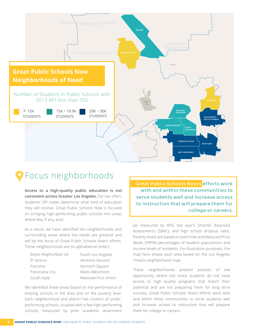

## Focus neighborhoods

**Access to a high-quality public education is not consistent across Greater Los Angeles.** Far too often, students' ZIP codes determine what kind of education they will receive. Great Public Schools Now is focused on bringing high-performing public schools into areas where few, if any, exist.

As a result, we have identified ten neighborhoods and surrounding areas where the needs are greatest and will be the focus of Great Public Schools Now's efforts. These neighborhoods are (in alphabetical order):

| Boyle Heights/East LA | South Los Angeles   |
|-----------------------|---------------------|
| El Sereno             | Vermont Slauson     |
| Pacoima               | Vermont Square      |
| Panorama City         | Watts-Westmont      |
| South Gate            | Westlake-Pico Union |

We identified these areas based on the performance of existing schools in the area and on the poverty level. Each neighborhood and district has clusters of underperforming schools, coupled with a few high-performing schools, measured by prior academic attainment Great Public Schools Now's efforts work with and within these communities to serve students well and increase access to instruction that will prepare them for college or careers.

(as measured by API), last year's Smarter Balanced Assessments (SBAC), and high school dropout rates. Poverty levels are based on both Free and Reduced Price Meals (FRPM) percentages of student populations and income levels of residents. For illustration purposes, the map here shows each area based on the Los Angeles Times's neighborhood map.

These neighborhoods present pockets of low opportunity, where too many students do not have access to high quality programs that match their potential and are not preparing them for long term success. Great Public Schools Now's efforts work with and within these communities to serve students well and increase access to instruction that will prepare them for college or careers.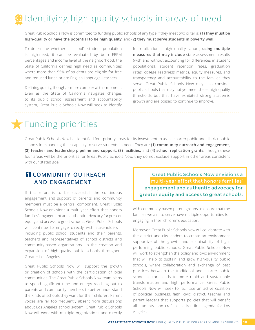## Identifying high-quality schools in areas of need

Great Public Schools Now is committed to funding public schools of any type if they meet two criteria: **(1) they must be high-quality or have the potential to be high quality,** and **(2) they must serve students in poverty well.**

To determine whether a school's student population is high-need, it can be evaluated by both FRPM percentages and income level of the neighborhood; the State of California defines high need as communities where more than 55% of students are eligible for free and reduced lunch or are English Language Learners.

Defining quality, though, is more complex at this moment. Even as the State of California navigates changes to its public school assessment and accountability system, Great Public Schools Now will seek to identify

for replication a high quality school, **using multiple measures that may include** state assessment results (with and without accounting for differences in student populations), student retention rates, graduation rates, college readiness metrics, equity measures, and transparency and accountability to the families they serve. Great Public Schools Now may also consider public schools that may not yet meet these high-quality thresholds but that have exhibited strong academic growth and are poised to continue to improve.

## Funding priorities

Great Public Schools Now has identified four priority areas for its investment to assist charter public and district public schools in expanding their capacity to serve students in need. They are **(1) community outreach and engagement, (2) teacher and leadership pipeline and support, (3) facilities,** and **(4) school replication grants.** Though these four areas will be the priorities for Great Public Schools Now, they do not exclude support in other areas consistent with our stated goal.

### **1 community outreach and engagement**

If this effort is to be successful, the continuous engagement and support of parents and community members must be a central component. Great Public Schools Now envisions a multi-year effort that honors families' engagement and authentic advocacy for greater equity and access to great schools. Great Public Schools will continue to engage directly with stakeholders including public school students and their parents, teachers and representatives of school districts and community-based organizations—in the creation and expansion of high-quality public schools throughout Greater Los Angeles.

Great Public Schools Now will support the growth or creation of schools with the participation of local communities. The Great Public Schools Now team plans to spend significant time and energy reaching out to parents and community members to better understand the kinds of schools they want for their children. Parent voices are far too frequently absent from discussions about Los Angeles' school system. Great Public Schools Now will work with multiple organizations and directly

Great Public Schools Now envisions a multi-year effort that honors families' engagement and authentic advocacy for greater equity and access to great schools.

with community based parent groups to ensure that the families we aim to serve have multiple opportunities for engaging in their children's education.

Moreover, Great Public Schools Now will collaborate with the district and city leaders to create an environment supportive of the growth and sustainability of highperforming public schools. Great Public Schools Now will work to strengthen the policy and civic environment that will help to sustain and grow high-quality public schools, where collaboration and exchange of best practices between the traditional and charter public school sectors leads to more rapid and sustainable transformation and high performance. Great Public Schools Now will seek to facilitate an active coalition of political, business, faith, civic, district, teacher and parent leaders that supports policies that will benefit all students, and craft a children-first agenda for Los Angeles.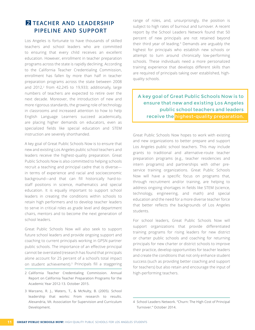#### **2 teacher and leadership pipeline and support**

Los Angeles is fortunate to have thousands of skilled teachers and school leaders who are committed to ensuring that every child receives an excellent education. However, enrollment in teacher preparation programs across the state is rapidly declining. According to the California Teacher Credentialing Commission, enrollment has fallen by more than half in teacher preparation programs across the state between 2008 and  $2012$ ,<sup>2</sup> from  $42,245$  to  $19,933$ ; additionally, large numbers of teachers are expected to retire over the next decade. Moreover, the introduction of new and more rigorous standards, the growing role of technology in classrooms and increased attention to how to help English Language Learners succeed academically, are placing higher demands on educators, even as specialized fields like special education and STEM instruction are severely shorthanded.

A key goal of Great Public Schools Now is to ensure that new and existing Los Angeles public school teachers and leaders receive the highest-quality preparation. Great Public Schools Now is also committed to helping schools recruit a teaching and principal cadre that is diverse in terms of experience and racial and socioeconomic background—and that can fill historically hard-tostaff positions in science, mathematics and special education. It is equally important to support school leaders in creating the conditions within schools to retain high performers and to develop teacher leaders to serve in critical roles as grade level and department chairs, mentors and to become the next generation of school leaders.

Great Public Schools Now will also seek to support future school leaders and provide ongoing support and coaching to current principals working in GPSN partner public schools. The importance of an effective principal cannot be overstated (research has found that principals alone account for 25 percent of a school's total impact on student achievement).3 Principals fill a staggering

- 2 California Teacher Credentialing Commission. Annual Report on California Teacher Preparation Programs for the Academic Year 2012-13. October 2015.
- 3 Marzano, R. J., Waters, T., & McNulty, B. (2005). School leadership that works: From research to results. Alexandria, VA: Association for Supervision and Curriculum Development.

range of roles, and, unsurprisingly, the position is subject to high rates of burnout and turnover. A recent report by the School Leaders Network found that 50 percent of new principals are not retained beyond their third year of leading.4 Demands are arguably the highest for principals who establish new schools or attempt to turn around chronically low-performing schools. These individuals need a more personalized training experience that develops different skills than are required of principals taking over established, highquality schools.

A key goal of Great Public Schools Now is to ensure that new and existing Los Angeles public school teachers and leaders receive the highest-quality preparation.

Great Public Schools Now hopes to work with existing and new organizations to better prepare and support Los Angeles public school teachers. This may include grants to traditional and alternative-route teacher preparation programs (e.g., teacher residencies and intern programs) and partnerships with other preservice training organizations. Great Public Schools Now will have a specific focus on programs that, through recruitment and/or training, are helping to address ongoing shortages in fields like STEM (science, technology, engineering, and math) and special education and the need for a more diverse teacher force that better reflects the backgrounds of Los Angeles students.

For school leaders, Great Public Schools Now will support organizations that provide differentiated training programs for rising leaders for new district or charter public schools and coaching for returning principals for new charter or district schools to improve their practice, develop opportunities for teacher leaders and create the conditions that not only enhance student success (such as providing better coaching and support for teachers) but also retain and encourage the input of high-performing teachers.

<sup>4</sup> School Leaders Network. "Churn: The High Cost of Principal Turnover." October 2014.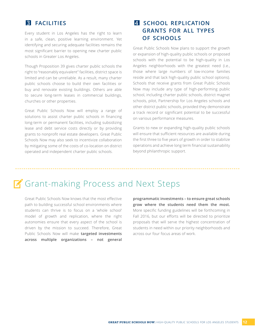## **3 facilities**

Every student in Los Angeles has the right to learn in a safe, clean, positive learning environment. Yet identifying and securing adequate facilities remains the most significant barrier to opening new charter public schools in Greater Los Angeles.

Though Proposition 39 gives charter public schools the right to "reasonably equivalent" facilities, district space is limited and can be unreliable. As a result, many charter public schools choose to build their own facilities or buy and renovate existing buildings. Others are able to secure long-term leases in commercial buildings, churches or other properties.

Great Public Schools Now will employ a range of solutions to assist charter public schools in financing long-term or permanent facilities, including subsidizing lease and debt service costs directly or by providing grants to nonprofit real estate developers. Great Public Schools Now may also seek to incentivize collaboration by mitigating some of the costs of co-location on district operated and independent charter public schools.

## **4 school replication grants for all types of schools**

Great Public Schools Now plans to support the growth or expansion of high-quality public schools or proposed schools with the potential to be high-quality in Los Angeles neighborhoods with the greatest need (i.e., those where large numbers of low-income families reside and that lack high-quality public school options). Schools that receive grants from Great Public Schools Now may include any type of high-performing public school, including charter public schools, district magnet schools, pilot, Partnership for Los Angeles schools and other district public schools, provided they demonstrate a track record or significant potential to be successful on various performance measures.

Grants to new or expanding high-quality public schools will ensure that sufficient resources are available during the first three to five years of growth in order to stabilize operations and achieve long term financial sustainability beyond philanthropic support.

# Grant-making Process and Next Steps

Great Public Schools Now knows that the most effective path to building successful school environments where students can thrive is to focus on a 'whole school' model of growth and replication, where the right autonomies ensure that every aspect of the school is driven by the mission to succeed. Therefore, Great Public Schools Now will make **targeted investments across multiple organizations – not general** 

**programmatic investments – to ensure great schools grow where the students need them the most.** More specific funding guidelines will be forthcoming in Fall 2016, but our efforts will be directed to prioritize proposals that will serve the highest concentration of students in need within our priority neighborhoods and across our four focus areas of work.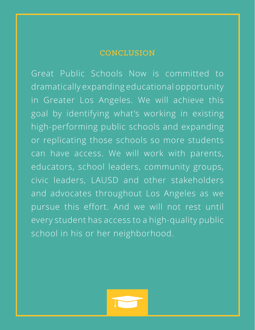## **CONCLUSION**

Great Public Schools Now is committed to dramatically expanding educational opportunity in Greater Los Angeles. We will achieve this goal by identifying what's working in existing high-performing public schools and expanding or replicating those schools so more students can have access. We will work with parents, educators, school leaders, community groups, civic leaders, LAUSD and other stakeholders and advocates throughout Los Angeles as we pursue this effort. And we will not rest until every student has access to a high-quality public school in his or her neighborhood.

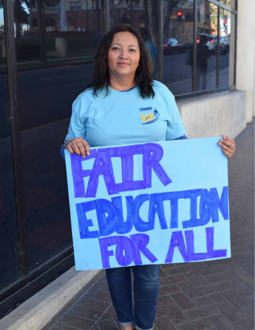